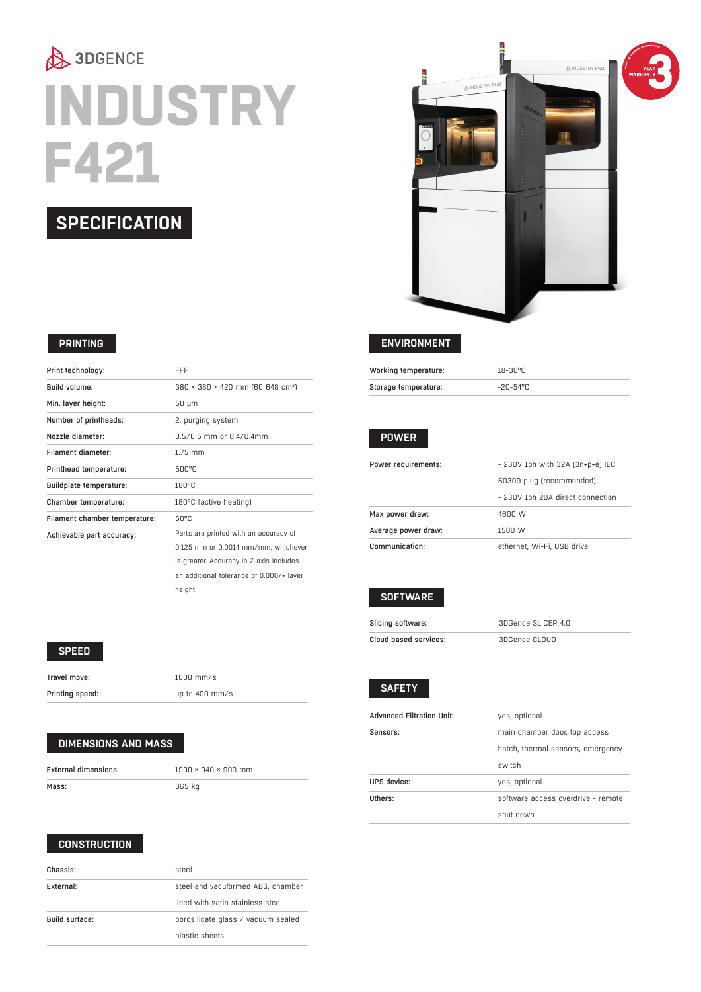# 3DGENCE **INDUSTRY F421**

#### **SPECIFICATION**

#### **PRINTING**

| Print technology:              | FFF                                                      |
|--------------------------------|----------------------------------------------------------|
| Build volume:                  | $380 \times 380 \times 420$ mm (60 648 cm <sup>3</sup> ) |
| Min. layer height:             | 50 µm                                                    |
| Number of printheads:          | 2, purging system                                        |
| Nozzle diameter:               | $0.5/0.5$ mm or $0.4/0.4$ mm                             |
| Filament diameter:             | $1.75$ mm                                                |
| Printhead temperature:         | 500°C                                                    |
| <b>Buildplate temperature:</b> | 180°C                                                    |
| Chamber temperature:           | 180°C (active heating)                                   |
| Filament chamber temperature:  | 50°C                                                     |
| Achievable part accuracy:      | Parts are printed with an accuracy of                    |
|                                | 0.125 mm or 0.0014 mm/mm, whichever                      |
|                                | is greater. Accuracy in Z-axis includes                  |
|                                | an additional tolerance of 0.000/+ layer                 |

#### **SPEED**

| Travel move:    | $1000$ mm/s      |
|-----------------|------------------|
| Printing speed: | up to $400$ mm/s |

height.

#### **DIMENSIONS AND MASS**

| External dimensions: | $1900 \times 940 \times 900$ mm |
|----------------------|---------------------------------|
| Mass:                | 365 kg                          |

#### **CONSTRUCTION**

| Chassis:       | steel                              |
|----------------|------------------------------------|
| External:      | steel and vacuformed ABS, chamber  |
|                | lined with satin stainless steel   |
| Build surface: | borosilicate glass / vacuum sealed |
|                | plastic sheets                     |



#### **ENVIRONMENT**

| Working temperature: | 18-30°C  |
|----------------------|----------|
| Storage temperature: | -20-54°C |

#### **POWER**

| Power requirements: | - 230V 1ph with 32A (3n+p+e) IEC |
|---------------------|----------------------------------|
|                     | 60309 plug (recommended)         |
|                     | - 230V 1ph 20A direct connection |
| Max power draw:     | 4600 W                           |
| Average power draw: | 1500 W                           |
| Communication:      | ethernet. Wi-Fi. USB drive       |

#### **SOFTWARE**

| Slicing software:     | 3DGence SLICER 4.0 |
|-----------------------|--------------------|
| Cloud based services: | 3DGence CLOUD      |

#### **SAFETY**

| yes, optional                      |
|------------------------------------|
| main chamber door, top access      |
| hatch, thermal sensors, emergency  |
| switch                             |
| yes, optional                      |
| software access overdrive - remote |
| shut down                          |
|                                    |